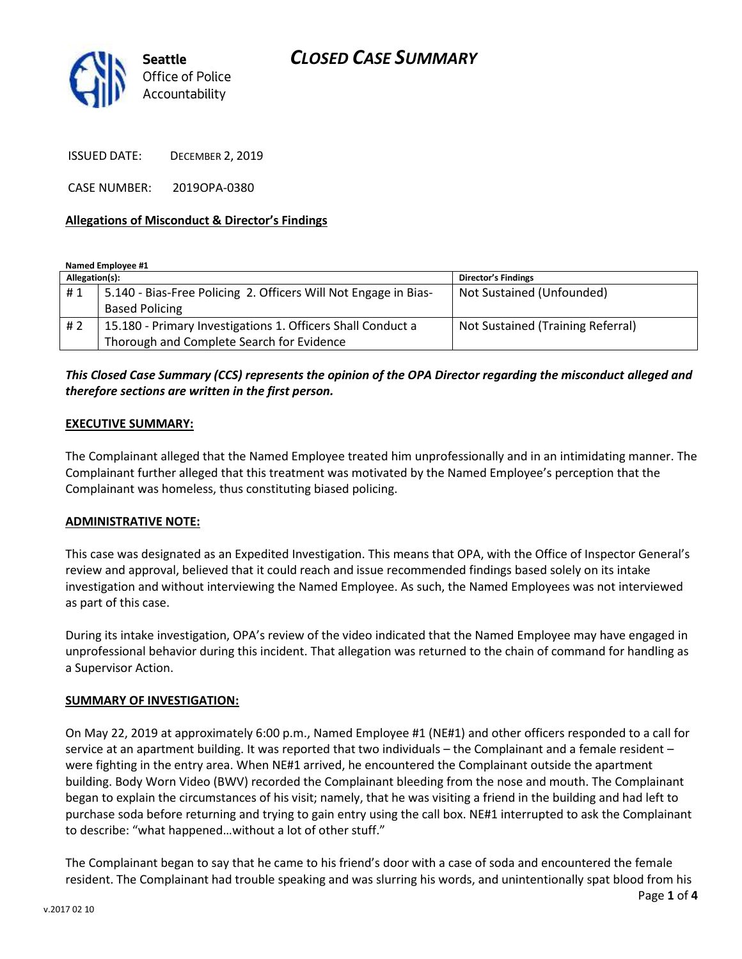## *CLOSED CASE SUMMARY*



ISSUED DATE: DECEMBER 2, 2019

CASE NUMBER: 2019OPA-0380

### **Allegations of Misconduct & Director's Findings**

**Named Employee #1**

| Allegation(s): |                                                                 | <b>Director's Findings</b>        |
|----------------|-----------------------------------------------------------------|-----------------------------------|
| #1             | 5.140 - Bias-Free Policing 2. Officers Will Not Engage in Bias- | Not Sustained (Unfounded)         |
|                | <b>Based Policing</b>                                           |                                   |
| #2             | 15.180 - Primary Investigations 1. Officers Shall Conduct a     | Not Sustained (Training Referral) |
|                | Thorough and Complete Search for Evidence                       |                                   |

## *This Closed Case Summary (CCS) represents the opinion of the OPA Director regarding the misconduct alleged and therefore sections are written in the first person.*

### **EXECUTIVE SUMMARY:**

The Complainant alleged that the Named Employee treated him unprofessionally and in an intimidating manner. The Complainant further alleged that this treatment was motivated by the Named Employee's perception that the Complainant was homeless, thus constituting biased policing.

#### **ADMINISTRATIVE NOTE:**

This case was designated as an Expedited Investigation. This means that OPA, with the Office of Inspector General's review and approval, believed that it could reach and issue recommended findings based solely on its intake investigation and without interviewing the Named Employee. As such, the Named Employees was not interviewed as part of this case.

During its intake investigation, OPA's review of the video indicated that the Named Employee may have engaged in unprofessional behavior during this incident. That allegation was returned to the chain of command for handling as a Supervisor Action.

#### **SUMMARY OF INVESTIGATION:**

On May 22, 2019 at approximately 6:00 p.m., Named Employee #1 (NE#1) and other officers responded to a call for service at an apartment building. It was reported that two individuals – the Complainant and a female resident – were fighting in the entry area. When NE#1 arrived, he encountered the Complainant outside the apartment building. Body Worn Video (BWV) recorded the Complainant bleeding from the nose and mouth. The Complainant began to explain the circumstances of his visit; namely, that he was visiting a friend in the building and had left to purchase soda before returning and trying to gain entry using the call box. NE#1 interrupted to ask the Complainant to describe: "what happened…without a lot of other stuff."

The Complainant began to say that he came to his friend's door with a case of soda and encountered the female resident. The Complainant had trouble speaking and was slurring his words, and unintentionally spat blood from his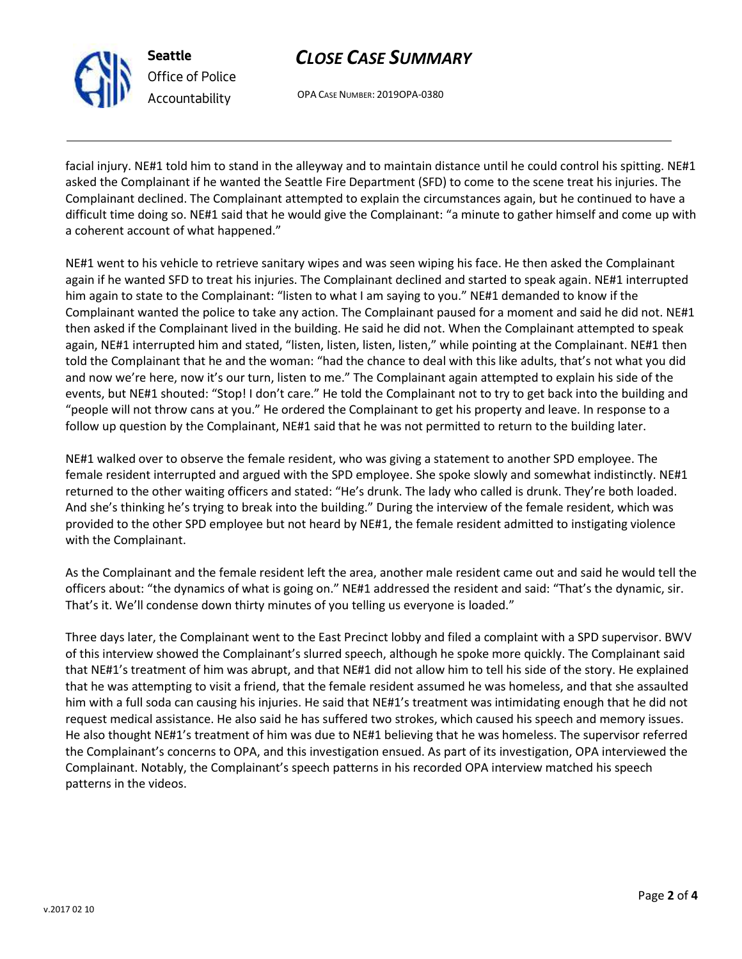

**Seattle** *Office of Police Accountability*

# *CLOSE CASE SUMMARY*

OPA CASE NUMBER: 2019OPA-0380

facial injury. NE#1 told him to stand in the alleyway and to maintain distance until he could control his spitting. NE#1 asked the Complainant if he wanted the Seattle Fire Department (SFD) to come to the scene treat his injuries. The Complainant declined. The Complainant attempted to explain the circumstances again, but he continued to have a difficult time doing so. NE#1 said that he would give the Complainant: "a minute to gather himself and come up with a coherent account of what happened."

NE#1 went to his vehicle to retrieve sanitary wipes and was seen wiping his face. He then asked the Complainant again if he wanted SFD to treat his injuries. The Complainant declined and started to speak again. NE#1 interrupted him again to state to the Complainant: "listen to what I am saying to you." NE#1 demanded to know if the Complainant wanted the police to take any action. The Complainant paused for a moment and said he did not. NE#1 then asked if the Complainant lived in the building. He said he did not. When the Complainant attempted to speak again, NE#1 interrupted him and stated, "listen, listen, listen, listen," while pointing at the Complainant. NE#1 then told the Complainant that he and the woman: "had the chance to deal with this like adults, that's not what you did and now we're here, now it's our turn, listen to me." The Complainant again attempted to explain his side of the events, but NE#1 shouted: "Stop! I don't care." He told the Complainant not to try to get back into the building and "people will not throw cans at you." He ordered the Complainant to get his property and leave. In response to a follow up question by the Complainant, NE#1 said that he was not permitted to return to the building later.

NE#1 walked over to observe the female resident, who was giving a statement to another SPD employee. The female resident interrupted and argued with the SPD employee. She spoke slowly and somewhat indistinctly. NE#1 returned to the other waiting officers and stated: "He's drunk. The lady who called is drunk. They're both loaded. And she's thinking he's trying to break into the building." During the interview of the female resident, which was provided to the other SPD employee but not heard by NE#1, the female resident admitted to instigating violence with the Complainant.

As the Complainant and the female resident left the area, another male resident came out and said he would tell the officers about: "the dynamics of what is going on." NE#1 addressed the resident and said: "That's the dynamic, sir. That's it. We'll condense down thirty minutes of you telling us everyone is loaded."

Three days later, the Complainant went to the East Precinct lobby and filed a complaint with a SPD supervisor. BWV of this interview showed the Complainant's slurred speech, although he spoke more quickly. The Complainant said that NE#1's treatment of him was abrupt, and that NE#1 did not allow him to tell his side of the story. He explained that he was attempting to visit a friend, that the female resident assumed he was homeless, and that she assaulted him with a full soda can causing his injuries. He said that NE#1's treatment was intimidating enough that he did not request medical assistance. He also said he has suffered two strokes, which caused his speech and memory issues. He also thought NE#1's treatment of him was due to NE#1 believing that he was homeless. The supervisor referred the Complainant's concerns to OPA, and this investigation ensued. As part of its investigation, OPA interviewed the Complainant. Notably, the Complainant's speech patterns in his recorded OPA interview matched his speech patterns in the videos.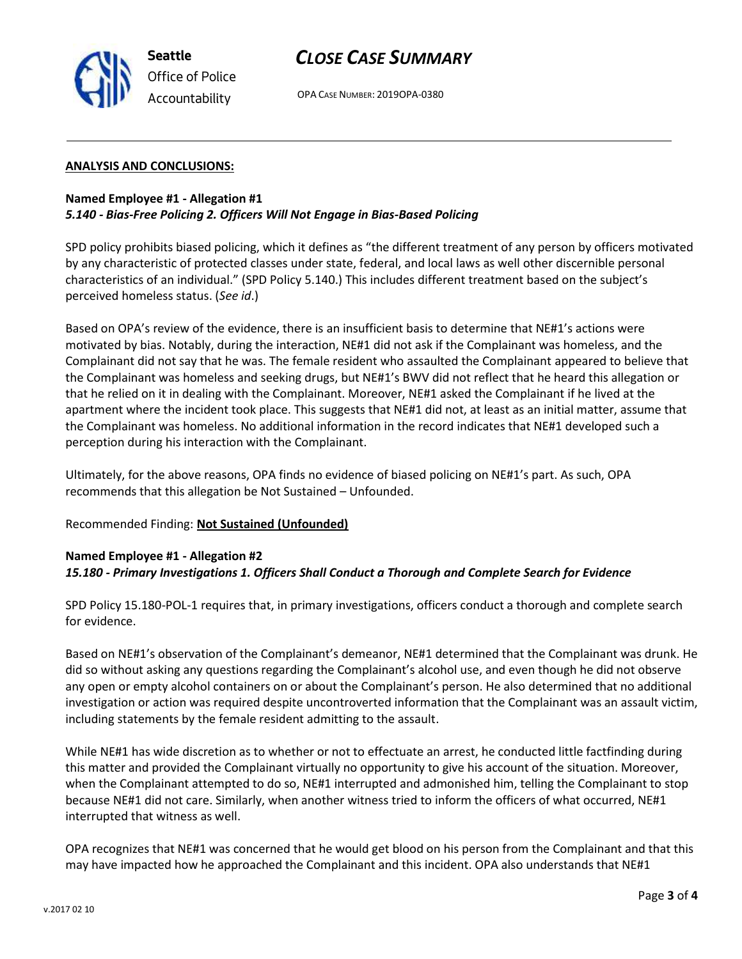

## *CLOSE CASE SUMMARY*

OPA CASE NUMBER: 2019OPA-0380

### **ANALYSIS AND CONCLUSIONS:**

### **Named Employee #1 - Allegation #1**  *5.140 - Bias-Free Policing 2. Officers Will Not Engage in Bias-Based Policing*

SPD policy prohibits biased policing, which it defines as "the different treatment of any person by officers motivated by any characteristic of protected classes under state, federal, and local laws as well other discernible personal characteristics of an individual." (SPD Policy 5.140.) This includes different treatment based on the subject's perceived homeless status. (*See id*.)

Based on OPA's review of the evidence, there is an insufficient basis to determine that NE#1's actions were motivated by bias. Notably, during the interaction, NE#1 did not ask if the Complainant was homeless, and the Complainant did not say that he was. The female resident who assaulted the Complainant appeared to believe that the Complainant was homeless and seeking drugs, but NE#1's BWV did not reflect that he heard this allegation or that he relied on it in dealing with the Complainant. Moreover, NE#1 asked the Complainant if he lived at the apartment where the incident took place. This suggests that NE#1 did not, at least as an initial matter, assume that the Complainant was homeless. No additional information in the record indicates that NE#1 developed such a perception during his interaction with the Complainant.

Ultimately, for the above reasons, OPA finds no evidence of biased policing on NE#1's part. As such, OPA recommends that this allegation be Not Sustained – Unfounded.

### Recommended Finding: **Not Sustained (Unfounded)**

### **Named Employee #1 - Allegation #2**  *15.180 - Primary Investigations 1. Officers Shall Conduct a Thorough and Complete Search for Evidence*

SPD Policy 15.180-POL-1 requires that, in primary investigations, officers conduct a thorough and complete search for evidence.

Based on NE#1's observation of the Complainant's demeanor, NE#1 determined that the Complainant was drunk. He did so without asking any questions regarding the Complainant's alcohol use, and even though he did not observe any open or empty alcohol containers on or about the Complainant's person. He also determined that no additional investigation or action was required despite uncontroverted information that the Complainant was an assault victim, including statements by the female resident admitting to the assault.

While NE#1 has wide discretion as to whether or not to effectuate an arrest, he conducted little factfinding during this matter and provided the Complainant virtually no opportunity to give his account of the situation. Moreover, when the Complainant attempted to do so, NE#1 interrupted and admonished him, telling the Complainant to stop because NE#1 did not care. Similarly, when another witness tried to inform the officers of what occurred, NE#1 interrupted that witness as well.

OPA recognizes that NE#1 was concerned that he would get blood on his person from the Complainant and that this may have impacted how he approached the Complainant and this incident. OPA also understands that NE#1